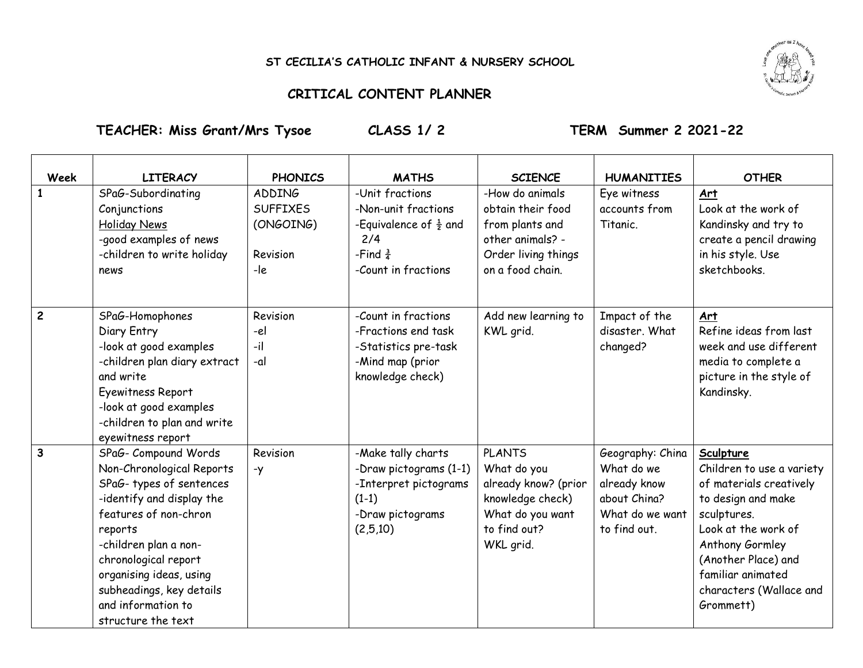## **ST CECILIA'S CATHOLIC INFANT & NURSERY SCHOOL**

## **CRITICAL CONTENT PLANNER**

 $\top$ 

**TEACHER: Miss Grant/Mrs Tysoe CLASS 1/ 2 TERM Summer 2 2021-22**

┯

┬

 $\top$ 

 $\top$ 

| <b>Week</b>    | <b>LITERACY</b>                                                                                                                                                                                                                                                                                   | <b>PHONICS</b>                                                   | <b>MATHS</b>                                                                                                                     | <b>SCIENCE</b>                                                                                                            | <b>HUMANITIES</b>                                                                                 | <b>OTHER</b>                                                                                                                                                                                                                         |
|----------------|---------------------------------------------------------------------------------------------------------------------------------------------------------------------------------------------------------------------------------------------------------------------------------------------------|------------------------------------------------------------------|----------------------------------------------------------------------------------------------------------------------------------|---------------------------------------------------------------------------------------------------------------------------|---------------------------------------------------------------------------------------------------|--------------------------------------------------------------------------------------------------------------------------------------------------------------------------------------------------------------------------------------|
|                | SPaG-Subordinating<br>Conjunctions<br>Holiday News<br>-good examples of news<br>-children to write holiday<br>news                                                                                                                                                                                | <b>ADDING</b><br><b>SUFFIXES</b><br>(ONGOING)<br>Revision<br>-le | -Unit fractions<br>-Non-unit fractions<br>-Equivalence of $\frac{1}{2}$ and<br>2/4<br>-Find $\frac{3}{4}$<br>-Count in fractions | -How do animals<br>obtain their food<br>from plants and<br>other animals? -<br>Order living things<br>on a food chain.    | Eye witness<br>accounts from<br>Titanic.                                                          | Art<br>Look at the work of<br>Kandinsky and try to<br>create a pencil drawing<br>in his style. Use<br>sketchbooks.                                                                                                                   |
| $\overline{2}$ | SPaG-Homophones<br>Diary Entry<br>-look at good examples<br>-children plan diary extract<br>and write<br>Eyewitness Report<br>-look at good examples<br>-children to plan and write<br>eyewitness report                                                                                          | Revision<br>-el<br>-il<br>-al                                    | -Count in fractions<br>-Fractions end task<br>-Statistics pre-task<br>-Mind map (prior<br>knowledge check)                       | Add new learning to<br>KWL grid.                                                                                          | Impact of the<br>disaster. What<br>changed?                                                       | Art<br>Refine ideas from last<br>week and use different<br>media to complete a<br>picture in the style of<br>Kandinsky.                                                                                                              |
| $\overline{3}$ | SPaG- Compound Words<br>Non-Chronological Reports<br>SPaG-types of sentences<br>-identify and display the<br>features of non-chron<br>reports<br>-children plan a non-<br>chronological report<br>organising ideas, using<br>subheadings, key details<br>and information to<br>structure the text | Revision<br>$-y$                                                 | -Make tally charts<br>-Draw pictograms (1-1)<br>-Interpret pictograms<br>$(1-1)$<br>-Draw pictograms<br>(2,5,10)                 | <b>PLANTS</b><br>What do you<br>already know? (prior<br>knowledge check)<br>What do you want<br>to find out?<br>WKL grid. | Geography: China<br>What do we<br>already know<br>about China?<br>What do we want<br>to find out. | Sculpture<br>Children to use a variety<br>of materials creatively<br>to design and make<br>sculptures.<br>Look at the work of<br>Anthony Gormley<br>(Another Place) and<br>familiar animated<br>characters (Wallace and<br>Grommett) |